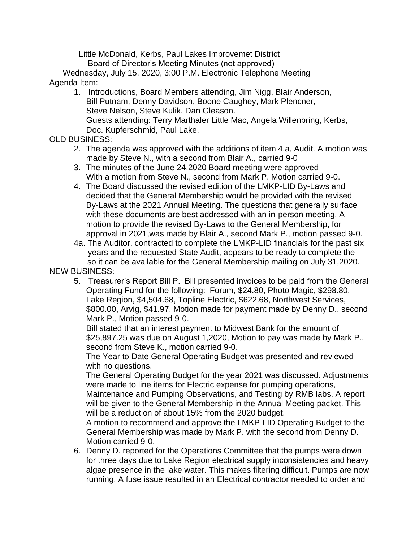Little McDonald, Kerbs, Paul Lakes Improvemet District Board of Director's Meeting Minutes (not approved)

 Wednesday, July 15, 2020, 3:00 P.M. Electronic Telephone Meeting Agenda Item:

1. Introductions, Board Members attending, Jim Nigg, Blair Anderson, Bill Putnam, Denny Davidson, Boone Caughey, Mark Plencner, Steve Nelson, Steve Kulik. Dan Gleason. Guests attending: Terry Marthaler Little Mac, Angela Willenbring, Kerbs, Doc. Kupferschmid, Paul Lake.

OLD BUSINESS:

- 2. The agenda was approved with the additions of item 4.a, Audit. A motion was made by Steve N., with a second from Blair A., carried 9-0
- 3. The minutes of the June 24,2020 Board meeting were approved With a motion from Steve N., second from Mark P. Motion carried 9-0.
- 4. The Board discussed the revised edition of the LMKP-LID By-Laws and decided that the General Membership would be provided with the revised By-Laws at the 2021 Annual Meeting. The questions that generally surface with these documents are best addressed with an in-person meeting. A motion to provide the revised By-Laws to the General Membership, for approval in 2021,was made by Blair A., second Mark P., motion passed 9-0.

4a. The Auditor, contracted to complete the LMKP-LID financials for the past six years and the requested State Audit, appears to be ready to complete the so it can be available for the General Membership mailing on July 31,2020. NEW BUSINESS:

5. Treasurer's Report Bill P. Bill presented invoices to be paid from the General Operating Fund for the following: Forum, \$24.80, Photo Magic, \$298.80, Lake Region, \$4,504.68, Topline Electric, \$622.68, Northwest Services, \$800.00, Arvig, \$41.97. Motion made for payment made by Denny D., second Mark P., Motion passed 9-0.

Bill stated that an interest payment to Midwest Bank for the amount of \$25,897.25 was due on August 1,2020, Motion to pay was made by Mark P., second from Steve K., motion carried 9-0.

The Year to Date General Operating Budget was presented and reviewed with no questions.

The General Operating Budget for the year 2021 was discussed. Adjustments were made to line items for Electric expense for pumping operations, Maintenance and Pumping Observations, and Testing by RMB labs. A report will be given to the General Membership in the Annual Meeting packet. This will be a reduction of about 15% from the 2020 budget.

A motion to recommend and approve the LMKP-LID Operating Budget to the General Membership was made by Mark P. with the second from Denny D. Motion carried 9-0.

6. Denny D. reported for the Operations Committee that the pumps were down for three days due to Lake Region electrical supply inconsistencies and heavy algae presence in the lake water. This makes filtering difficult. Pumps are now running. A fuse issue resulted in an Electrical contractor needed to order and